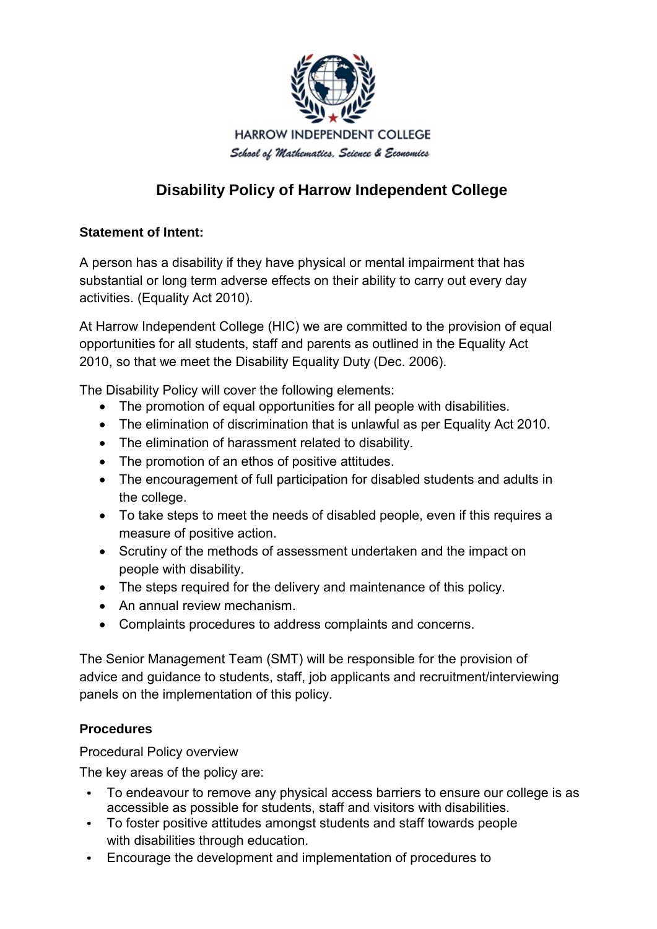

# **Disability Policy of Harrow Independent College**

## **Statement of Intent:**

A person has a disability if they have physical or mental impairment that has substantial or long term adverse effects on their ability to carry out every day activities. (Equality Act 2010).

At Harrow Independent College (HIC) we are committed to the provision of equal opportunities for all students, staff and parents as outlined in the Equality Act 2010, so that we meet the Disability Equality Duty (Dec. 2006).

The Disability Policy will cover the following elements:

- The promotion of equal opportunities for all people with disabilities.
- The elimination of discrimination that is unlawful as per Equality Act 2010.
- The elimination of harassment related to disability.
- The promotion of an ethos of positive attitudes.
- The encouragement of full participation for disabled students and adults in the college.
- To take steps to meet the needs of disabled people, even if this requires a measure of positive action.
- Scrutiny of the methods of assessment undertaken and the impact on people with disability.
- The steps required for the delivery and maintenance of this policy.
- An annual review mechanism.
- Complaints procedures to address complaints and concerns.

The Senior Management Team (SMT) will be responsible for the provision of advice and guidance to students, staff, job applicants and recruitment/interviewing panels on the implementation of this policy.

# **Procedures**

Procedural Policy overview

The key areas of the policy are:

- To endeavour to remove any physical access barriers to ensure our college is as accessible as possible for students, staff and visitors with disabilities.
- To foster positive attitudes amongst students and staff towards people with disabilities through education.
- Encourage the development and implementation of procedures to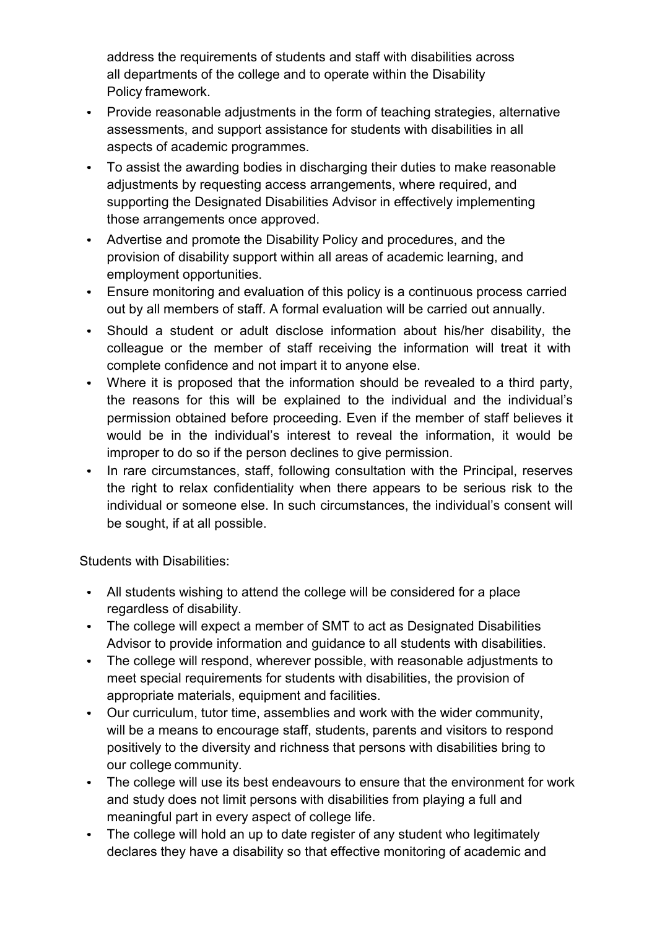address the requirements of students and staff with disabilities across all departments of the college and to operate within the Disability Policy framework.

- Provide reasonable adjustments in the form of teaching strategies, alternative assessments, and support assistance for students with disabilities in all aspects of academic programmes.
- To assist the awarding bodies in discharging their duties to make reasonable adjustments by requesting access arrangements, where required, and supporting the Designated Disabilities Advisor in effectively implementing those arrangements once approved.
- Advertise and promote the Disability Policy and procedures, and the provision of disability support within all areas of academic learning, and employment opportunities.
- Ensure monitoring and evaluation of this policy is a continuous process carried out by all members of staff. A formal evaluation will be carried out annually.
- Should a student or adult disclose information about his/her disability, the colleague or the member of staff receiving the information will treat it with complete confidence and not impart it to anyone else.
- Where it is proposed that the information should be revealed to a third party, the reasons for this will be explained to the individual and the individual's permission obtained before proceeding. Even if the member of staff believes it would be in the individual's interest to reveal the information, it would be improper to do so if the person declines to give permission.
- In rare circumstances, staff, following consultation with the Principal, reserves the right to relax confidentiality when there appears to be serious risk to the individual or someone else. In such circumstances, the individual's consent will be sought, if at all possible.

Students with Disabilities:

- All students wishing to attend the college will be considered for a place regardless of disability.
- The college will expect a member of SMT to act as Designated Disabilities Advisor to provide information and guidance to all students with disabilities.
- The college will respond, wherever possible, with reasonable adjustments to meet special requirements for students with disabilities, the provision of appropriate materials, equipment and facilities.
- Our curriculum, tutor time, assemblies and work with the wider community, will be a means to encourage staff, students, parents and visitors to respond positively to the diversity and richness that persons with disabilities bring to our college community.
- The college will use its best endeavours to ensure that the environment for work and study does not limit persons with disabilities from playing a full and meaningful part in every aspect of college life.
- The college will hold an up to date register of any student who legitimately declares they have a disability so that effective monitoring of academic and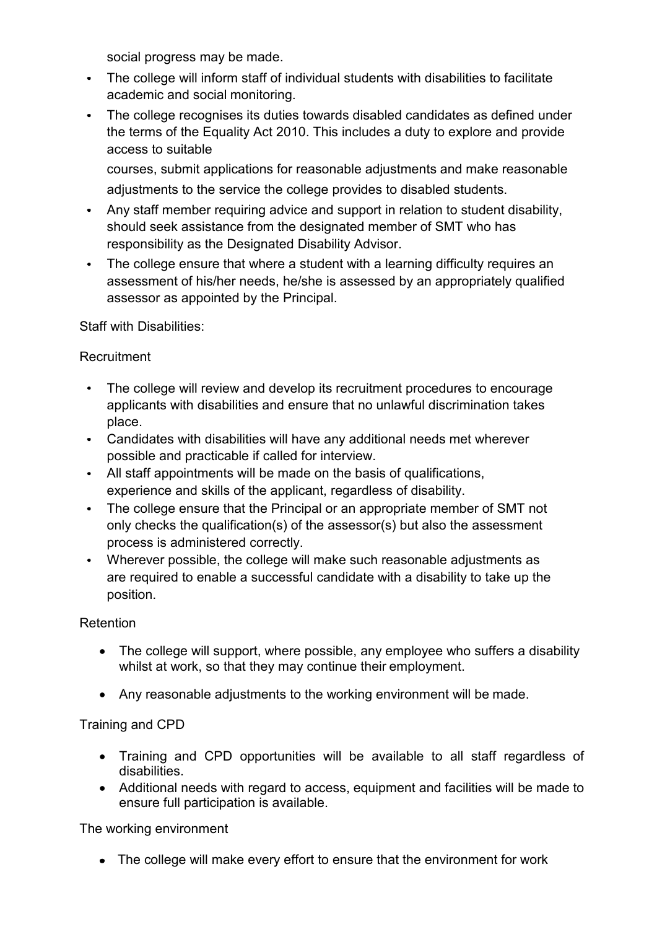social progress may be made.

- The college will inform staff of individual students with disabilities to facilitate academic and social monitoring.
- The college recognises its duties towards disabled candidates as defined under the terms of the Equality Act 2010. This includes a duty to explore and provide access to suitable

courses, submit applications for reasonable adjustments and make reasonable adjustments to the service the college provides to disabled students.

- Any staff member requiring advice and support in relation to student disability, should seek assistance from the designated member of SMT who has responsibility as the Designated Disability Advisor.
- The college ensure that where a student with a learning difficulty requires an assessment of his/her needs, he/she is assessed by an appropriately qualified assessor as appointed by the Principal.

Staff with Disabilities:

## **Recruitment**

- The college will review and develop its recruitment procedures to encourage applicants with disabilities and ensure that no unlawful discrimination takes place.
- Candidates with disabilities will have any additional needs met wherever possible and practicable if called for interview.
- All staff appointments will be made on the basis of qualifications, experience and skills of the applicant, regardless of disability.
- The college ensure that the Principal or an appropriate member of SMT not only checks the qualification(s) of the assessor(s) but also the assessment process is administered correctly.
- Wherever possible, the college will make such reasonable adjustments as are required to enable a successful candidate with a disability to take up the position.

#### Retention

- The college will support, where possible, any employee who suffers a disability whilst at work, so that they may continue their employment.
- Any reasonable adjustments to the working environment will be made.

# Training and CPD

- Training and CPD opportunities will be available to all staff regardless of disabilities.
- Additional needs with regard to access, equipment and facilities will be made to ensure full participation is available.

#### The working environment

The college will make every effort to ensure that the environment for work